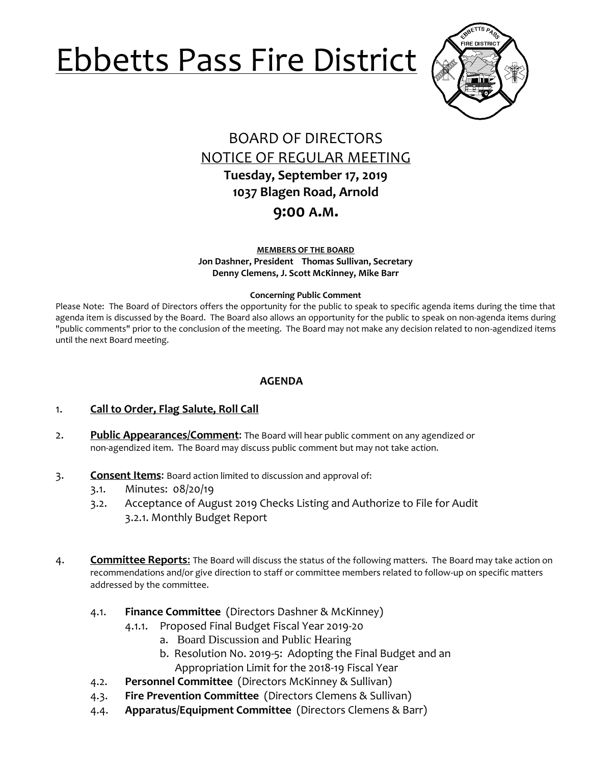# Ebbetts Pass Fire District



## BOARD OF DIRECTORS NOTICE OF REGULAR MEETING **Tuesday, September 17, 2019 1037 Blagen Road, Arnold**

**9:00 A.M.**

**MEMBERS OF THE BOARD Jon Dashner, President Thomas Sullivan, Secretary Denny Clemens, J. Scott McKinney, Mike Barr**

#### **Concerning Public Comment**

Please Note:The Board of Directors offers the opportunity for the public to speak to specific agenda items during the time that agenda item is discussed by the Board. The Board also allows an opportunity for the public to speak on non-agenda items during "public comments" prior to the conclusion of the meeting. The Board may not make any decision related to non-agendized items until the next Board meeting.

### **AGENDA**

- 1. **Call to Order, Flag Salute, Roll Call**
- 2. **Public Appearances/Comment**: The Board will hear public comment on any agendized or non-agendized item. The Board may discuss public comment but may not take action.
- 3. **Consent Items**: Board action limited to discussion and approval of:
	- 3.1. Minutes: 08/20/19
	- 3.2. Acceptance of August 2019 Checks Listing and Authorize to File for Audit 3.2.1. Monthly Budget Report
- 4. **Committee Reports**: The Board will discuss the status of the following matters. The Board may take action on recommendations and/or give direction to staff or committee members related to follow-up on specific matters addressed by the committee.
	- 4.1. **Finance Committee** (Directors Dashner & McKinney)
		- 4.1.1. Proposed Final Budget Fiscal Year 2019-20
			- a. Board Discussion and Public Hearing
			- b. Resolution No. 2019-5: Adopting the Final Budget and an Appropriation Limit for the 2018-19 Fiscal Year
	- 4.2. **Personnel Committee** (Directors McKinney & Sullivan)
	- 4.3. **Fire Prevention Committee** (Directors Clemens & Sullivan)
	- 4.4. **Apparatus/Equipment Committee** (Directors Clemens & Barr)